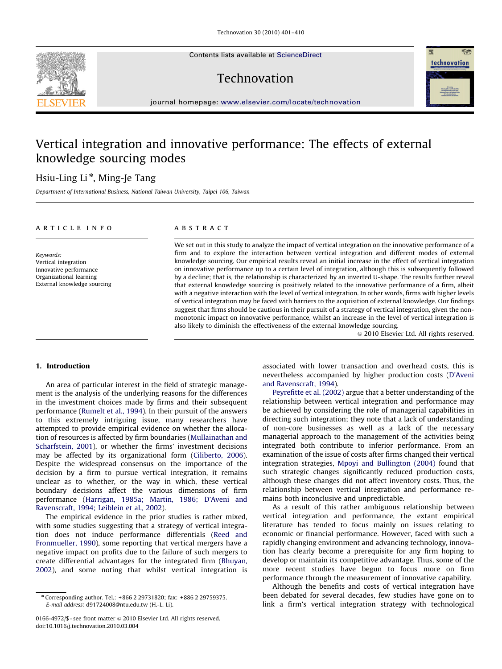Contents lists available at ScienceDirect

## Technovation



# Vertical integration and innovative performance: The effects of external knowledge sourcing modes

### Hsiu-Ling Li<sup>\*</sup>, Ming-Je Tang

Department of International Business, National Taiwan University, Taipei 106, Taiwan

#### article info

Keywords: Vertical integration Innovative performance Organizational learning External knowledge sourcing

#### ABSTRACT

We set out in this study to analyze the impact of vertical integration on the innovative performance of a firm and to explore the interaction between vertical integration and different modes of external knowledge sourcing. Our empirical results reveal an initial increase in the effect of vertical integration on innovative performance up to a certain level of integration, although this is subsequently followed by a decline; that is, the relationship is characterized by an inverted U-shape. The results further reveal that external knowledge sourcing is positively related to the innovative performance of a firm, albeit with a negative interaction with the level of vertical integration. In other words, firms with higher levels of vertical integration may be faced with barriers to the acquisition of external knowledge. Our findings suggest that firms should be cautious in their pursuit of a strategy of vertical integration, given the nonmonotonic impact on innovative performance, whilst an increase in the level of vertical integration is also likely to diminish the effectiveness of the external knowledge sourcing.

 $\odot$  2010 Elsevier Ltd. All rights reserved.

#### 1. Introduction

An area of particular interest in the field of strategic management is the analysis of the underlying reasons for the differences in the investment choices made by firms and their subsequent performance ([Rumelt et al., 1994](#page--1-0)). In their pursuit of the answers to this extremely intriguing issue, many researchers have attempted to provide empirical evidence on whether the allocation of resources is affected by firm boundaries [\(Mullainathan and](#page--1-0) [Scharfstein, 2001](#page--1-0)), or whether the firms' investment decisions may be affected by its organizational form ([Ciliberto, 2006\)](#page--1-0). Despite the widespread consensus on the importance of the decision by a firm to pursue vertical integration, it remains unclear as to whether, or the way in which, these vertical boundary decisions affect the various dimensions of firm performance [\(Harrigan, 1985a; Martin, 1986; D'Aveni and](#page--1-0) [Ravenscraft, 1994; Leiblein et al., 2002](#page--1-0)).

The empirical evidence in the prior studies is rather mixed, with some studies suggesting that a strategy of vertical integration does not induce performance differentials ([Reed and](#page--1-0) [Fronmueller, 1990\)](#page--1-0), some reporting that vertical mergers have a negative impact on profits due to the failure of such mergers to create differential advantages for the integrated firm ([Bhuyan,](#page--1-0) [2002\)](#page--1-0), and some noting that whilst vertical integration is

associated with lower transaction and overhead costs, this is nevertheless accompanied by higher production costs [\(D'Aveni](#page--1-0) [and Ravenscraft, 1994\)](#page--1-0).

[Peyrefitte et al. \(2002\)](#page--1-0) argue that a better understanding of the relationship between vertical integration and performance may be achieved by considering the role of managerial capabilities in directing such integration; they note that a lack of understanding of non-core businesses as well as a lack of the necessary managerial approach to the management of the activities being integrated both contribute to inferior performance. From an examination of the issue of costs after firms changed their vertical integration strategies, [Mpoyi and Bullington \(2004\)](#page--1-0) found that such strategic changes significantly reduced production costs, although these changes did not affect inventory costs. Thus, the relationship between vertical integration and performance remains both inconclusive and unpredictable.

As a result of this rather ambiguous relationship between vertical integration and performance, the extant empirical literature has tended to focus mainly on issues relating to economic or financial performance. However, faced with such a rapidly changing environment and advancing technology, innovation has clearly become a prerequisite for any firm hoping to develop or maintain its competitive advantage. Thus, some of the more recent studies have begun to focus more on firm performance through the measurement of innovative capability.

Although the benefits and costs of vertical integration have been debated for several decades, few studies have gone on to link a firm's vertical integration strategy with technological





<sup>n</sup> Corresponding author. Tel.: +866 2 29731820; fax: +886 2 29759375. E-mail address: [d91724008@ntu.edu.tw \(H.-L. Li\)](mailto:d91724008@ntu.edu.tw).

<sup>0166-4972/\$ -</sup> see front matter  $\circ$  2010 Elsevier Ltd. All rights reserved. doi:[10.1016/j.technovation.2010.03.004](dx.doi.org/10.1016/j.technovation.2010.03.004)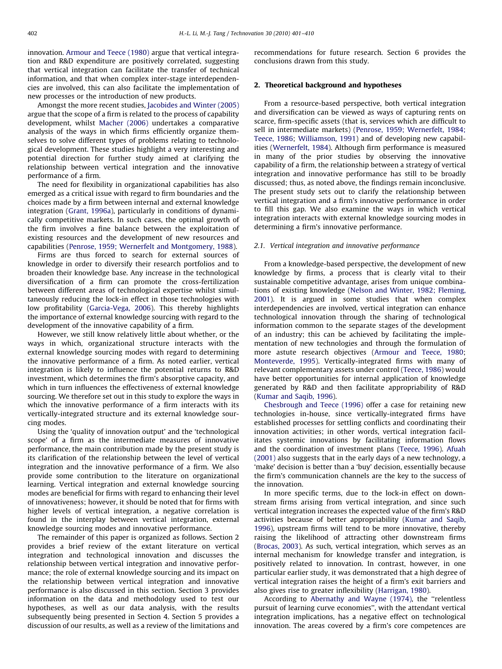innovation. [Armour and Teece \(1980\)](#page--1-0) argue that vertical integration and R&D expenditure are positively correlated, suggesting that vertical integration can facilitate the transfer of technical information, and that when complex inter-stage interdependencies are involved, this can also facilitate the implementation of new processes or the introduction of new products.

Amongst the more recent studies, [Jacobides and Winter \(2005\)](#page--1-0) argue that the scope of a firm is related to the process of capability development, whilst [Macher \(2006\)](#page--1-0) undertakes a comparative analysis of the ways in which firms efficiently organize themselves to solve different types of problems relating to technological development. These studies highlight a very interesting and potential direction for further study aimed at clarifying the relationship between vertical integration and the innovative performance of a firm.

The need for flexibility in organizational capabilities has also emerged as a critical issue with regard to firm boundaries and the choices made by a firm between internal and external knowledge integration [\(Grant, 1996a\)](#page--1-0), particularly in conditions of dynamically competitive markets. In such cases, the optimal growth of the firm involves a fine balance between the exploitation of existing resources and the development of new resources and capabilities [\(Penrose, 1959; Wernerfelt and Montgomery, 1988\)](#page--1-0).

Firms are thus forced to search for external sources of knowledge in order to diversify their research portfolios and to broaden their knowledge base. Any increase in the technological diversification of a firm can promote the cross-fertilization between different areas of technological expertise whilst simultaneously reducing the lock-in effect in those technologies with low profitability [\(Garcia-Vega, 2006](#page--1-0)). This thereby highlights the importance of external knowledge sourcing with regard to the development of the innovative capability of a firm.

However, we still know relatively little about whether, or the ways in which, organizational structure interacts with the external knowledge sourcing modes with regard to determining the innovative performance of a firm. As noted earlier, vertical integration is likely to influence the potential returns to R&D investment, which determines the firm's absorptive capacity, and which in turn influences the effectiveness of external knowledge sourcing. We therefore set out in this study to explore the ways in which the innovative performance of a firm interacts with its vertically-integrated structure and its external knowledge sourcing modes.

Using the 'quality of innovation output' and the 'technological scope' of a firm as the intermediate measures of innovative performance, the main contribution made by the present study is its clarification of the relationship between the level of vertical integration and the innovative performance of a firm. We also provide some contribution to the literature on organizational learning. Vertical integration and external knowledge sourcing modes are beneficial for firms with regard to enhancing their level of innovativeness; however, it should be noted that for firms with higher levels of vertical integration, a negative correlation is found in the interplay between vertical integration, external knowledge sourcing modes and innovative performance.

The remainder of this paper is organized as follows. Section 2 provides a brief review of the extant literature on vertical integration and technological innovation and discusses the relationship between vertical integration and innovative performance; the role of external knowledge sourcing and its impact on the relationship between vertical integration and innovative performance is also discussed in this section. Section 3 provides information on the data and methodology used to test our hypotheses, as well as our data analysis, with the results subsequently being presented in Section 4. Section 5 provides a discussion of our results, as well as a review of the limitations and recommendations for future research. Section 6 provides the conclusions drawn from this study.

#### 2. Theoretical background and hypotheses

From a resource-based perspective, both vertical integration and diversification can be viewed as ways of capturing rents on scarce, firm-specific assets (that is, services which are difficult to sell in intermediate markets) ([Penrose, 1959; Wernerfelt, 1984;](#page--1-0) [Teece, 1986;](#page--1-0) [Williamson, 1991](#page--1-0)) and of developing new capabilities ([Wernerfelt, 1984\)](#page--1-0). Although firm performance is measured in many of the prior studies by observing the innovative capability of a firm, the relationship between a strategy of vertical integration and innovative performance has still to be broadly discussed; thus, as noted above, the findings remain inconclusive. The present study sets out to clarify the relationship between vertical integration and a firm's innovative performance in order to fill this gap. We also examine the ways in which vertical integration interacts with external knowledge sourcing modes in determining a firm's innovative performance.

#### 2.1. Vertical integration and innovative performance

From a knowledge-based perspective, the development of new knowledge by firms, a process that is clearly vital to their sustainable competitive advantage, arises from unique combinations of existing knowledge ([Nelson and Winter, 1982; Fleming,](#page--1-0) [2001\)](#page--1-0). It is argued in some studies that when complex interdependencies are involved, vertical integration can enhance technological innovation through the sharing of technological information common to the separate stages of the development of an industry; this can be achieved by facilitating the implementation of new technologies and through the formulation of more astute research objectives [\(Armour and Teece, 1980;](#page--1-0) [Monteverde, 1995\)](#page--1-0). Vertically-integrated firms with many of relevant complementary assets under control ([Teece, 1986\)](#page--1-0) would have better opportunities for internal application of knowledge generated by R&D and then facilitate appropriability of R&D ([Kumar and Saqib, 1996\)](#page--1-0).

[Chesbrough and Teece \(1996\)](#page--1-0) offer a case for retaining new technologies in-house, since vertically-integrated firms have established processes for settling conflicts and coordinating their innovation activities; in other words, vertical integration facilitates systemic innovations by facilitating information flows and the coordination of investment plans ([Teece, 1996](#page--1-0)). [Afuah](#page--1-0) [\(2001\)](#page--1-0) also suggests that in the early days of a new technology, a 'make' decision is better than a 'buy' decision, essentially because the firm's communication channels are the key to the success of the innovation.

In more specific terms, due to the lock-in effect on downstream firms arising from vertical integration, and since such vertical integration increases the expected value of the firm's R&D activities because of better appropriability ([Kumar and Saqib,](#page--1-0) [1996\)](#page--1-0), upstream firms will tend to be more innovative, thereby raising the likelihood of attracting other downstream firms ([Brocas, 2003](#page--1-0)). As such, vertical integration, which serves as an internal mechanism for knowledge transfer and integration, is positively related to innovation. In contrast, however, in one particular earlier study, it was demonstrated that a high degree of vertical integration raises the height of a firm's exit barriers and also gives rise to greater inflexibility ([Harrigan, 1980](#page--1-0)).

According to [Abernathy and Wayne \(1974\),](#page--1-0) the ''relentless pursuit of learning curve economies'', with the attendant vertical integration implications, has a negative effect on technological innovation. The areas covered by a firm's core competences are